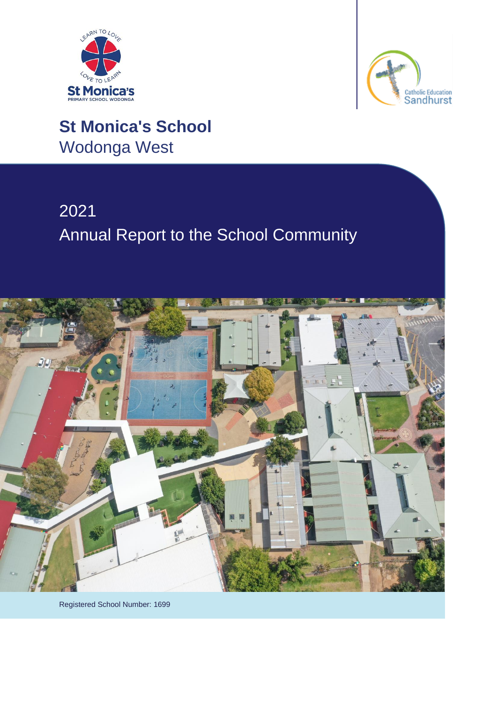



# **St Monica's School** Wodonga West

# 2021 Annual Report to the School Community



Registered School Number: 1699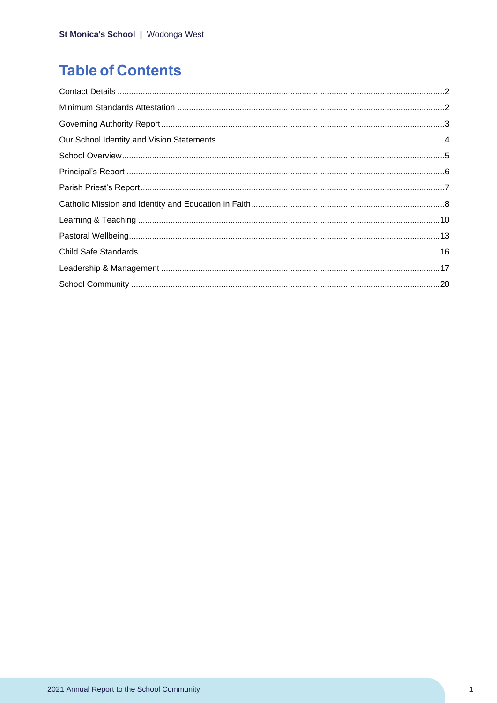# **Table of Contents**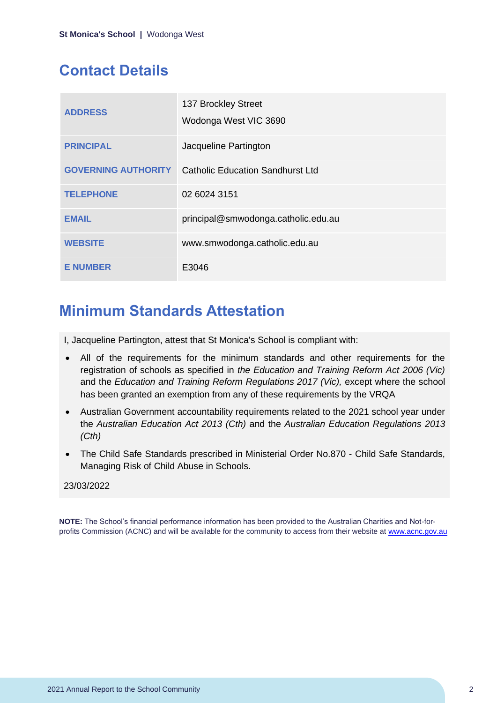# <span id="page-2-0"></span>**Contact Details**

| <b>ADDRESS</b>             | 137 Brockley Street<br>Wodonga West VIC 3690 |
|----------------------------|----------------------------------------------|
| <b>PRINCIPAL</b>           | Jacqueline Partington                        |
| <b>GOVERNING AUTHORITY</b> | Catholic Education Sandhurst Ltd             |
| <b>TELEPHONE</b>           | 02 6024 3151                                 |
| <b>EMAIL</b>               | principal@smwodonga.catholic.edu.au          |
| <b>WEBSITE</b>             | www.smwodonga.catholic.edu.au                |
| <b>E NUMBER</b>            | E3046                                        |

# <span id="page-2-1"></span>**Minimum Standards Attestation**

I, Jacqueline Partington, attest that St Monica's School is compliant with:

- All of the requirements for the minimum standards and other requirements for the registration of schools as specified in *the Education and Training Reform Act 2006 (Vic)* and the *Education and Training Reform Regulations 2017 (Vic),* except where the school has been granted an exemption from any of these requirements by the VRQA
- Australian Government accountability requirements related to the 2021 school year under the *Australian Education Act 2013 (Cth)* and the *Australian Education Regulations 2013 (Cth)*
- The Child Safe Standards prescribed in Ministerial Order No.870 Child Safe Standards, Managing Risk of Child Abuse in Schools.

### 23/03/2022

**NOTE:** The School's financial performance information has been provided to the Australian Charities and Not-forprofits Commission (ACNC) and will be available for the community to access from their website at [www.acnc.gov.au](http://www.acnc.gov.au/)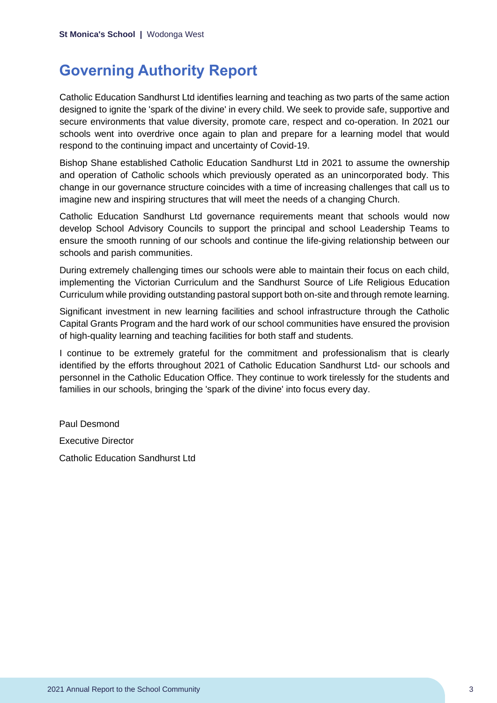# <span id="page-3-0"></span>**Governing Authority Report**

Catholic Education Sandhurst Ltd identifies learning and teaching as two parts of the same action designed to ignite the 'spark of the divine' in every child. We seek to provide safe, supportive and secure environments that value diversity, promote care, respect and co-operation. In 2021 our schools went into overdrive once again to plan and prepare for a learning model that would respond to the continuing impact and uncertainty of Covid-19.

Bishop Shane established Catholic Education Sandhurst Ltd in 2021 to assume the ownership and operation of Catholic schools which previously operated as an unincorporated body. This change in our governance structure coincides with a time of increasing challenges that call us to imagine new and inspiring structures that will meet the needs of a changing Church.

Catholic Education Sandhurst Ltd governance requirements meant that schools would now develop School Advisory Councils to support the principal and school Leadership Teams to ensure the smooth running of our schools and continue the life-giving relationship between our schools and parish communities.

During extremely challenging times our schools were able to maintain their focus on each child, implementing the Victorian Curriculum and the Sandhurst Source of Life Religious Education Curriculum while providing outstanding pastoral support both on-site and through remote learning.

Significant investment in new learning facilities and school infrastructure through the Catholic Capital Grants Program and the hard work of our school communities have ensured the provision of high-quality learning and teaching facilities for both staff and students.

I continue to be extremely grateful for the commitment and professionalism that is clearly identified by the efforts throughout 2021 of Catholic Education Sandhurst Ltd- our schools and personnel in the Catholic Education Office. They continue to work tirelessly for the students and families in our schools, bringing the 'spark of the divine' into focus every day.

Paul Desmond Executive Director

Catholic Education Sandhurst Ltd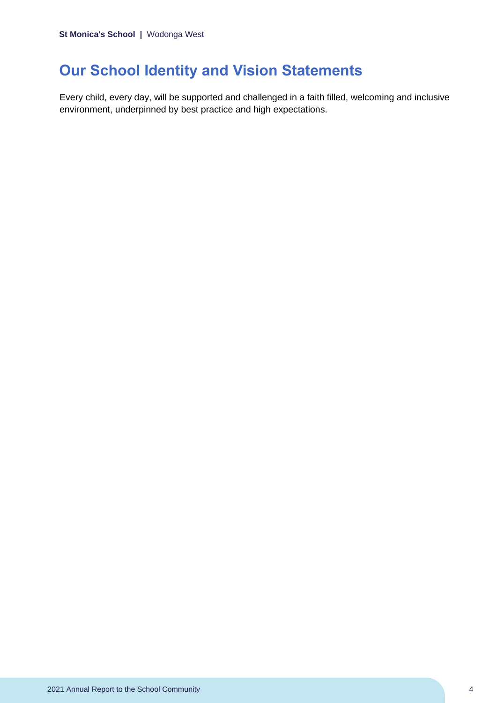# <span id="page-4-0"></span>**Our School Identity and Vision Statements**

Every child, every day, will be supported and challenged in a faith filled, welcoming and inclusive environment, underpinned by best practice and high expectations.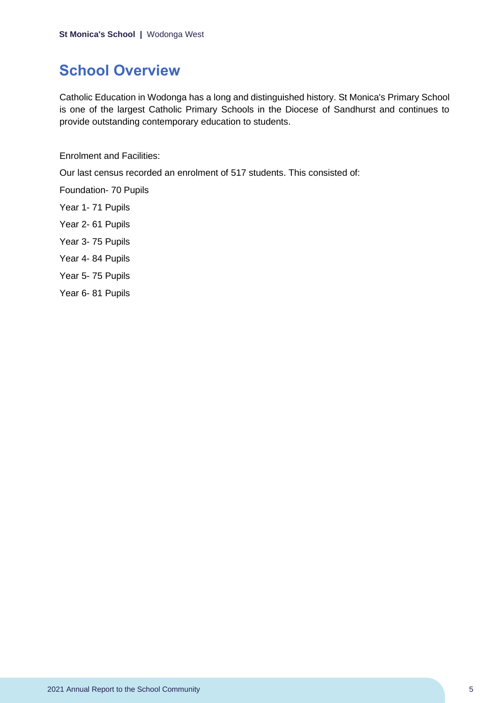# <span id="page-5-0"></span>**School Overview**

Catholic Education in Wodonga has a long and distinguished history. St Monica's Primary School is one of the largest Catholic Primary Schools in the Diocese of Sandhurst and continues to provide outstanding contemporary education to students.

Enrolment and Facilities:

Our last census recorded an enrolment of 517 students. This consisted of:

Foundation- 70 Pupils

- Year 1- 71 Pupils
- Year 2- 61 Pupils
- Year 3- 75 Pupils
- Year 4- 84 Pupils
- Year 5- 75 Pupils
- Year 6- 81 Pupils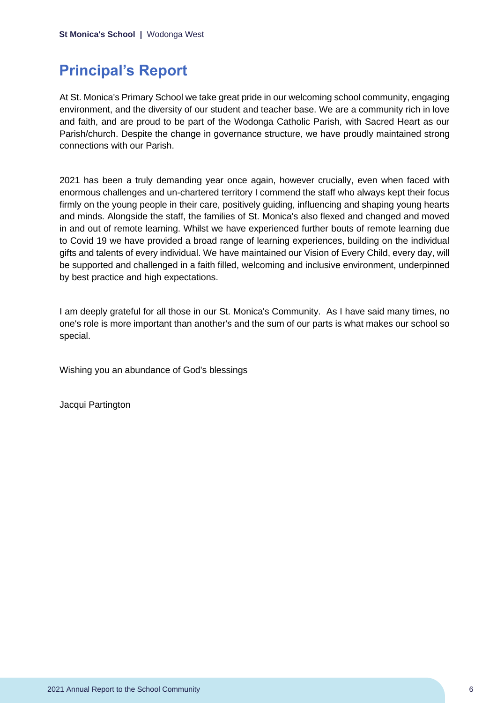# <span id="page-6-0"></span>**Principal's Report**

At St. Monica's Primary School we take great pride in our welcoming school community, engaging environment, and the diversity of our student and teacher base. We are a community rich in love and faith, and are proud to be part of the Wodonga Catholic Parish, with Sacred Heart as our Parish/church. Despite the change in governance structure, we have proudly maintained strong connections with our Parish.

2021 has been a truly demanding year once again, however crucially, even when faced with enormous challenges and un-chartered territory I commend the staff who always kept their focus firmly on the young people in their care, positively guiding, influencing and shaping young hearts and minds. Alongside the staff, the families of St. Monica's also flexed and changed and moved in and out of remote learning. Whilst we have experienced further bouts of remote learning due to Covid 19 we have provided a broad range of learning experiences, building on the individual gifts and talents of every individual. We have maintained our Vision of Every Child, every day, will be supported and challenged in a faith filled, welcoming and inclusive environment, underpinned by best practice and high expectations.

I am deeply grateful for all those in our St. Monica's Community. As I have said many times, no one's role is more important than another's and the sum of our parts is what makes our school so special.

Wishing you an abundance of God's blessings

Jacqui Partington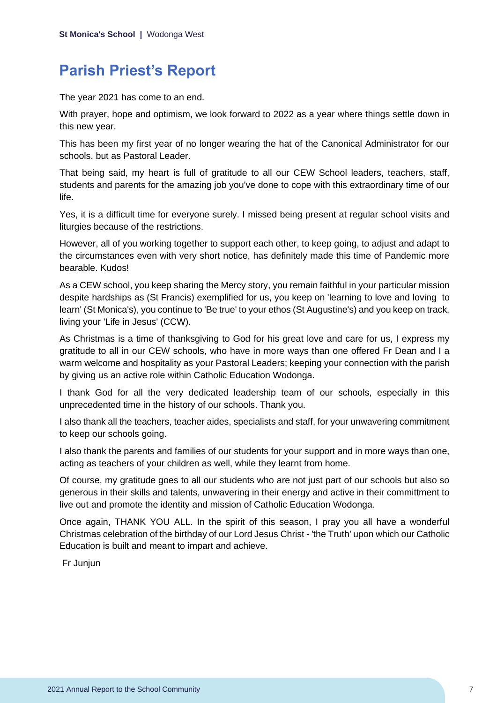# <span id="page-7-0"></span>**Parish Priest's Report**

The year 2021 has come to an end.

With prayer, hope and optimism, we look forward to 2022 as a year where things settle down in this new year.

This has been my first year of no longer wearing the hat of the Canonical Administrator for our schools, but as Pastoral Leader.

That being said, my heart is full of gratitude to all our CEW School leaders, teachers, staff, students and parents for the amazing job you've done to cope with this extraordinary time of our life.

Yes, it is a difficult time for everyone surely. I missed being present at regular school visits and liturgies because of the restrictions.

However, all of you working together to support each other, to keep going, to adjust and adapt to the circumstances even with very short notice, has definitely made this time of Pandemic more bearable. Kudos!

As a CEW school, you keep sharing the Mercy story, you remain faithful in your particular mission despite hardships as (St Francis) exemplified for us, you keep on 'learning to love and loving to learn' (St Monica's), you continue to 'Be true' to your ethos (St Augustine's) and you keep on track, living your 'Life in Jesus' (CCW).

As Christmas is a time of thanksgiving to God for his great love and care for us, I express my gratitude to all in our CEW schools, who have in more ways than one offered Fr Dean and I a warm welcome and hospitality as your Pastoral Leaders; keeping your connection with the parish by giving us an active role within Catholic Education Wodonga.

I thank God for all the very dedicated leadership team of our schools, especially in this unprecedented time in the history of our schools. Thank you.

I also thank all the teachers, teacher aides, specialists and staff, for your unwavering commitment to keep our schools going.

I also thank the parents and families of our students for your support and in more ways than one, acting as teachers of your children as well, while they learnt from home.

Of course, my gratitude goes to all our students who are not just part of our schools but also so generous in their skills and talents, unwavering in their energy and active in their committment to live out and promote the identity and mission of Catholic Education Wodonga.

Once again, THANK YOU ALL. In the spirit of this season, I pray you all have a wonderful Christmas celebration of the birthday of our Lord Jesus Christ - 'the Truth' upon which our Catholic Education is built and meant to impart and achieve.

Fr Junjun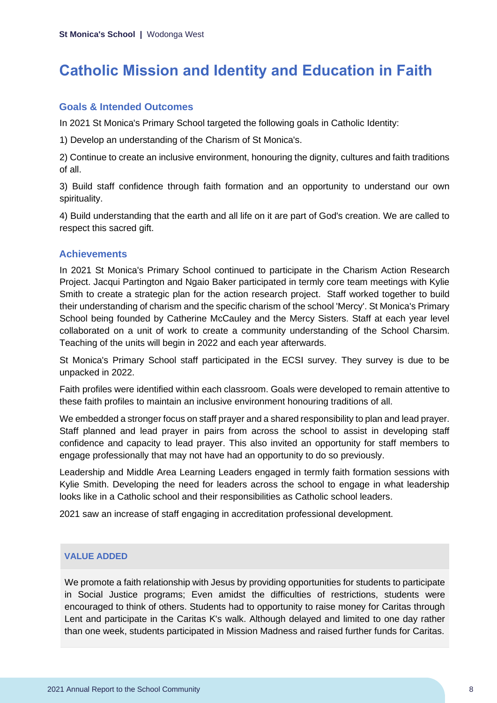# <span id="page-8-0"></span>**Catholic Mission and Identity and Education in Faith**

### **Goals & Intended Outcomes**

In 2021 St Monica's Primary School targeted the following goals in Catholic Identity:

1) Develop an understanding of the Charism of St Monica's.

2) Continue to create an inclusive environment, honouring the dignity, cultures and faith traditions of all.

3) Build staff confidence through faith formation and an opportunity to understand our own spirituality.

4) Build understanding that the earth and all life on it are part of God's creation. We are called to respect this sacred gift.

### **Achievements**

In 2021 St Monica's Primary School continued to participate in the Charism Action Research Project. Jacqui Partington and Ngaio Baker participated in termly core team meetings with Kylie Smith to create a strategic plan for the action research project. Staff worked together to build their understanding of charism and the specific charism of the school 'Mercy'. St Monica's Primary School being founded by Catherine McCauley and the Mercy Sisters. Staff at each year level collaborated on a unit of work to create a community understanding of the School Charsim. Teaching of the units will begin in 2022 and each year afterwards.

St Monica's Primary School staff participated in the ECSI survey. They survey is due to be unpacked in 2022.

Faith profiles were identified within each classroom. Goals were developed to remain attentive to these faith profiles to maintain an inclusive environment honouring traditions of all.

We embedded a stronger focus on staff prayer and a shared responsibility to plan and lead prayer. Staff planned and lead prayer in pairs from across the school to assist in developing staff confidence and capacity to lead prayer. This also invited an opportunity for staff members to engage professionally that may not have had an opportunity to do so previously.

Leadership and Middle Area Learning Leaders engaged in termly faith formation sessions with Kylie Smith. Developing the need for leaders across the school to engage in what leadership looks like in a Catholic school and their responsibilities as Catholic school leaders.

2021 saw an increase of staff engaging in accreditation professional development.

### **VALUE ADDED**

We promote a faith relationship with Jesus by providing opportunities for students to participate in Social Justice programs; Even amidst the difficulties of restrictions, students were encouraged to think of others. Students had to opportunity to raise money for Caritas through Lent and participate in the Caritas K's walk. Although delayed and limited to one day rather than one week, students participated in Mission Madness and raised further funds for Caritas.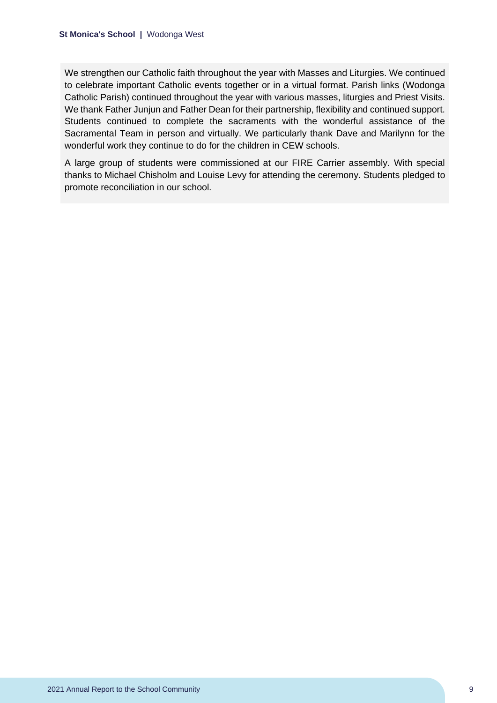We strengthen our Catholic faith throughout the year with Masses and Liturgies. We continued to celebrate important Catholic events together or in a virtual format. Parish links (Wodonga Catholic Parish) continued throughout the year with various masses, liturgies and Priest Visits. We thank Father Junjun and Father Dean for their partnership, flexibility and continued support. Students continued to complete the sacraments with the wonderful assistance of the Sacramental Team in person and virtually. We particularly thank Dave and Marilynn for the wonderful work they continue to do for the children in CEW schools.

A large group of students were commissioned at our FIRE Carrier assembly. With special thanks to Michael Chisholm and Louise Levy for attending the ceremony. Students pledged to promote reconciliation in our school.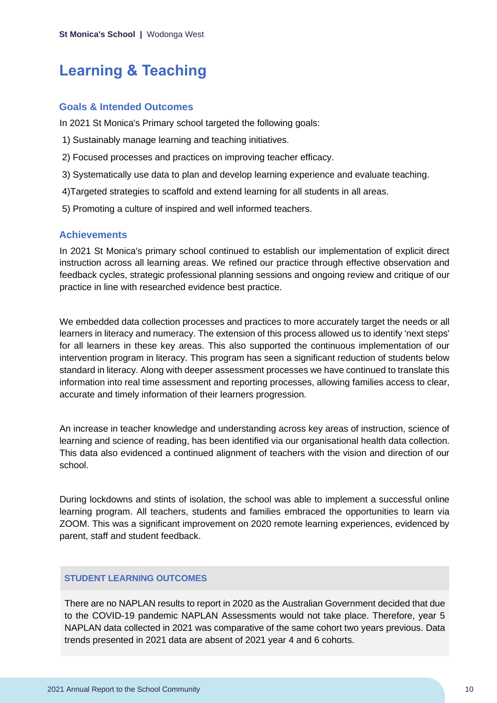# <span id="page-10-0"></span>**Learning & Teaching**

### **Goals & Intended Outcomes**

In 2021 St Monica's Primary school targeted the following goals:

- 1) Sustainably manage learning and teaching initiatives.
- 2) Focused processes and practices on improving teacher efficacy.
- 3) Systematically use data to plan and develop learning experience and evaluate teaching.
- 4)Targeted strategies to scaffold and extend learning for all students in all areas.
- 5) Promoting a culture of inspired and well informed teachers.

### **Achievements**

In 2021 St Monica's primary school continued to establish our implementation of explicit direct instruction across all learning areas. We refined our practice through effective observation and feedback cycles, strategic professional planning sessions and ongoing review and critique of our practice in line with researched evidence best practice.

We embedded data collection processes and practices to more accurately target the needs or all learners in literacy and numeracy. The extension of this process allowed us to identify 'next steps' for all learners in these key areas. This also supported the continuous implementation of our intervention program in literacy. This program has seen a significant reduction of students below standard in literacy. Along with deeper assessment processes we have continued to translate this information into real time assessment and reporting processes, allowing families access to clear, accurate and timely information of their learners progression.

An increase in teacher knowledge and understanding across key areas of instruction, science of learning and science of reading, has been identified via our organisational health data collection. This data also evidenced a continued alignment of teachers with the vision and direction of our school.

During lockdowns and stints of isolation, the school was able to implement a successful online learning program. All teachers, students and families embraced the opportunities to learn via ZOOM. This was a significant improvement on 2020 remote learning experiences, evidenced by parent, staff and student feedback.

#### **STUDENT LEARNING OUTCOMES**

There are no NAPLAN results to report in 2020 as the Australian Government decided that due to the COVID-19 pandemic NAPLAN Assessments would not take place. Therefore, year 5 NAPLAN data collected in 2021 was comparative of the same cohort two years previous. Data trends presented in 2021 data are absent of 2021 year 4 and 6 cohorts.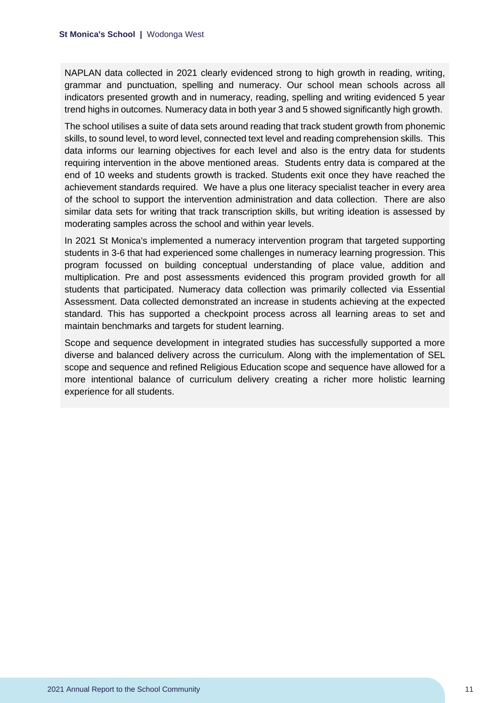NAPLAN data collected in 2021 clearly evidenced strong to high growth in reading, writing, grammar and punctuation, spelling and numeracy. Our school mean schools across all indicators presented growth and in numeracy, reading, spelling and writing evidenced 5 year trend highs in outcomes. Numeracy data in both year 3 and 5 showed significantly high growth.

The school utilises a suite of data sets around reading that track student growth from phonemic skills, to sound level, to word level, connected text level and reading comprehension skills. This data informs our learning objectives for each level and also is the entry data for students requiring intervention in the above mentioned areas. Students entry data is compared at the end of 10 weeks and students growth is tracked. Students exit once they have reached the achievement standards required. We have a plus one literacy specialist teacher in every area of the school to support the intervention administration and data collection. There are also similar data sets for writing that track transcription skills, but writing ideation is assessed by moderating samples across the school and within year levels.

In 2021 St Monica's implemented a numeracy intervention program that targeted supporting students in 3-6 that had experienced some challenges in numeracy learning progression. This program focussed on building conceptual understanding of place value, addition and multiplication. Pre and post assessments evidenced this program provided growth for all students that participated. Numeracy data collection was primarily collected via Essential Assessment. Data collected demonstrated an increase in students achieving at the expected standard. This has supported a checkpoint process across all learning areas to set and maintain benchmarks and targets for student learning.

Scope and sequence development in integrated studies has successfully supported a more diverse and balanced delivery across the curriculum. Along with the implementation of SEL scope and sequence and refined Religious Education scope and sequence have allowed for a more intentional balance of curriculum delivery creating a richer more holistic learning experience for all students.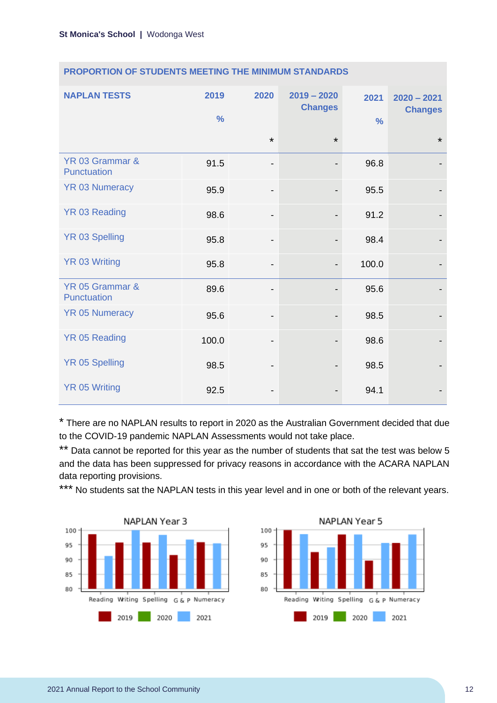| <b>NAPLAN TESTS</b>            | 2019<br>$\frac{0}{0}$ | 2020                         | $2019 - 2020$<br><b>Changes</b> | 2021<br>$\frac{9}{6}$ | $2020 - 2021$<br><b>Changes</b> |
|--------------------------------|-----------------------|------------------------------|---------------------------------|-----------------------|---------------------------------|
|                                |                       | $\star$                      | $\star$                         |                       | $\star$                         |
| YR 03 Grammar &<br>Punctuation | 91.5                  | -                            |                                 | 96.8                  |                                 |
| <b>YR 03 Numeracy</b>          | 95.9                  | -                            |                                 | 95.5                  |                                 |
| YR 03 Reading                  | 98.6                  | -                            |                                 | 91.2                  |                                 |
| <b>YR 03 Spelling</b>          | 95.8                  | $\overline{\phantom{a}}$     |                                 | 98.4                  |                                 |
| <b>YR 03 Writing</b>           | 95.8                  | $\qquad \qquad \blacksquare$ |                                 | 100.0                 |                                 |
| YR 05 Grammar &<br>Punctuation | 89.6                  | -                            |                                 | 95.6                  |                                 |
| <b>YR 05 Numeracy</b>          | 95.6                  | $\overline{\phantom{a}}$     |                                 | 98.5                  |                                 |
| <b>YR 05 Reading</b>           | 100.0                 | $\overline{\phantom{0}}$     |                                 | 98.6                  |                                 |
| <b>YR 05 Spelling</b>          | 98.5                  | -                            |                                 | 98.5                  |                                 |
| <b>YR 05 Writing</b>           | 92.5                  |                              |                                 | 94.1                  |                                 |

### **PROPORTION OF STUDENTS MEETING THE MINIMUM STANDARDS**

\* There are no NAPLAN results to report in 2020 as the Australian Government decided that due to the COVID-19 pandemic NAPLAN Assessments would not take place.

\*\* Data cannot be reported for this year as the number of students that sat the test was below 5 and the data has been suppressed for privacy reasons in accordance with the ACARA NAPLAN data reporting provisions.

\*\*\* No students sat the NAPLAN tests in this year level and in one or both of the relevant years.



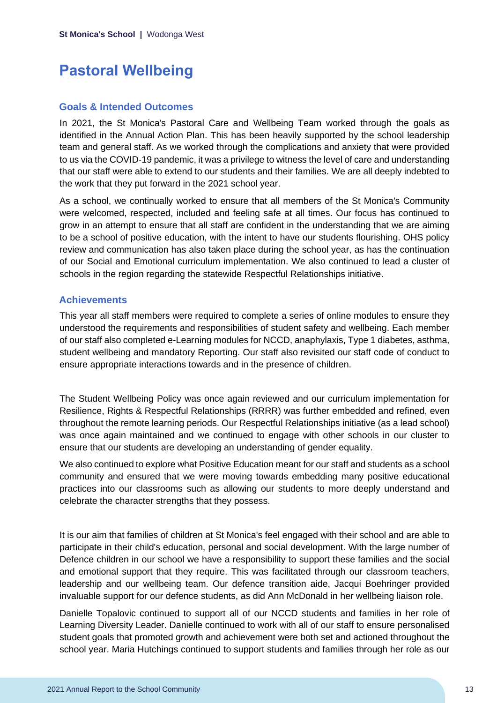# <span id="page-13-0"></span>**Pastoral Wellbeing**

### **Goals & Intended Outcomes**

In 2021, the St Monica's Pastoral Care and Wellbeing Team worked through the goals as identified in the Annual Action Plan. This has been heavily supported by the school leadership team and general staff. As we worked through the complications and anxiety that were provided to us via the COVID-19 pandemic, it was a privilege to witness the level of care and understanding that our staff were able to extend to our students and their families. We are all deeply indebted to the work that they put forward in the 2021 school year.

As a school, we continually worked to ensure that all members of the St Monica's Community were welcomed, respected, included and feeling safe at all times. Our focus has continued to grow in an attempt to ensure that all staff are confident in the understanding that we are aiming to be a school of positive education, with the intent to have our students flourishing. OHS policy review and communication has also taken place during the school year, as has the continuation of our Social and Emotional curriculum implementation. We also continued to lead a cluster of schools in the region regarding the statewide Respectful Relationships initiative.

## **Achievements**

This year all staff members were required to complete a series of online modules to ensure they understood the requirements and responsibilities of student safety and wellbeing. Each member of our staff also completed e-Learning modules for NCCD, anaphylaxis, Type 1 diabetes, asthma, student wellbeing and mandatory Reporting. Our staff also revisited our staff code of conduct to ensure appropriate interactions towards and in the presence of children.

The Student Wellbeing Policy was once again reviewed and our curriculum implementation for Resilience, Rights & Respectful Relationships (RRRR) was further embedded and refined, even throughout the remote learning periods. Our Respectful Relationships initiative (as a lead school) was once again maintained and we continued to engage with other schools in our cluster to ensure that our students are developing an understanding of gender equality.

We also continued to explore what Positive Education meant for our staff and students as a school community and ensured that we were moving towards embedding many positive educational practices into our classrooms such as allowing our students to more deeply understand and celebrate the character strengths that they possess.

It is our aim that families of children at St Monica's feel engaged with their school and are able to participate in their child's education, personal and social development. With the large number of Defence children in our school we have a responsibility to support these families and the social and emotional support that they require. This was facilitated through our classroom teachers, leadership and our wellbeing team. Our defence transition aide, Jacqui Boehringer provided invaluable support for our defence students, as did Ann McDonald in her wellbeing liaison role.

Danielle Topalovic continued to support all of our NCCD students and families in her role of Learning Diversity Leader. Danielle continued to work with all of our staff to ensure personalised student goals that promoted growth and achievement were both set and actioned throughout the school year. Maria Hutchings continued to support students and families through her role as our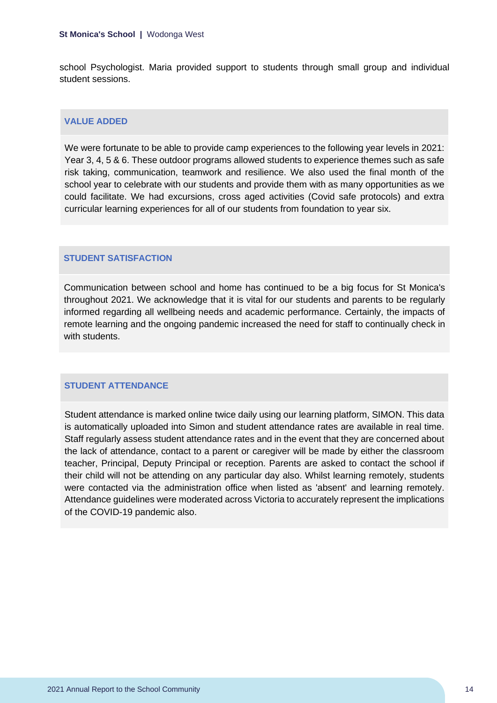school Psychologist. Maria provided support to students through small group and individual student sessions.

#### **VALUE ADDED**

We were fortunate to be able to provide camp experiences to the following year levels in 2021: Year 3, 4, 5 & 6. These outdoor programs allowed students to experience themes such as safe risk taking, communication, teamwork and resilience. We also used the final month of the school year to celebrate with our students and provide them with as many opportunities as we could facilitate. We had excursions, cross aged activities (Covid safe protocols) and extra curricular learning experiences for all of our students from foundation to year six.

#### **STUDENT SATISFACTION**

Communication between school and home has continued to be a big focus for St Monica's throughout 2021. We acknowledge that it is vital for our students and parents to be regularly informed regarding all wellbeing needs and academic performance. Certainly, the impacts of remote learning and the ongoing pandemic increased the need for staff to continually check in with students

#### **STUDENT ATTENDANCE**

Student attendance is marked online twice daily using our learning platform, SIMON. This data is automatically uploaded into Simon and student attendance rates are available in real time. Staff regularly assess student attendance rates and in the event that they are concerned about the lack of attendance, contact to a parent or caregiver will be made by either the classroom teacher, Principal, Deputy Principal or reception. Parents are asked to contact the school if their child will not be attending on any particular day also. Whilst learning remotely, students were contacted via the administration office when listed as 'absent' and learning remotely. Attendance guidelines were moderated across Victoria to accurately represent the implications of the COVID-19 pandemic also.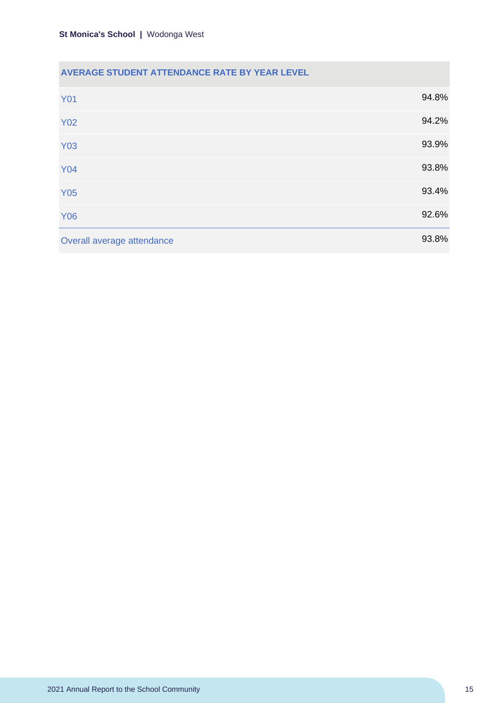# **AVERAGE STUDENT ATTENDANCE RATE BY YEAR LEVEL**

| <b>Y01</b>                 | 94.8% |
|----------------------------|-------|
| <b>Y02</b>                 | 94.2% |
| <b>Y03</b>                 | 93.9% |
| <b>Y04</b>                 | 93.8% |
| <b>Y05</b>                 | 93.4% |
| <b>Y06</b>                 | 92.6% |
| Overall average attendance | 93.8% |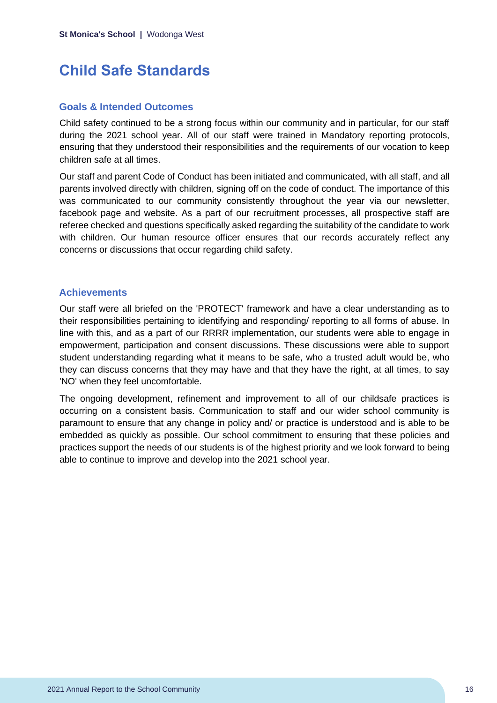# <span id="page-16-0"></span>**Child Safe Standards**

### **Goals & Intended Outcomes**

Child safety continued to be a strong focus within our community and in particular, for our staff during the 2021 school year. All of our staff were trained in Mandatory reporting protocols, ensuring that they understood their responsibilities and the requirements of our vocation to keep children safe at all times.

Our staff and parent Code of Conduct has been initiated and communicated, with all staff, and all parents involved directly with children, signing off on the code of conduct. The importance of this was communicated to our community consistently throughout the year via our newsletter, facebook page and website. As a part of our recruitment processes, all prospective staff are referee checked and questions specifically asked regarding the suitability of the candidate to work with children. Our human resource officer ensures that our records accurately reflect any concerns or discussions that occur regarding child safety.

### **Achievements**

Our staff were all briefed on the 'PROTECT' framework and have a clear understanding as to their responsibilities pertaining to identifying and responding/ reporting to all forms of abuse. In line with this, and as a part of our RRRR implementation, our students were able to engage in empowerment, participation and consent discussions. These discussions were able to support student understanding regarding what it means to be safe, who a trusted adult would be, who they can discuss concerns that they may have and that they have the right, at all times, to say 'NO' when they feel uncomfortable.

The ongoing development, refinement and improvement to all of our childsafe practices is occurring on a consistent basis. Communication to staff and our wider school community is paramount to ensure that any change in policy and/ or practice is understood and is able to be embedded as quickly as possible. Our school commitment to ensuring that these policies and practices support the needs of our students is of the highest priority and we look forward to being able to continue to improve and develop into the 2021 school year.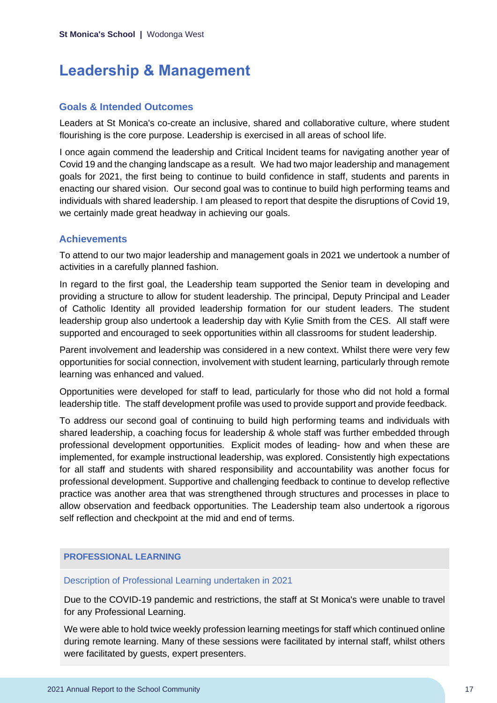# <span id="page-17-0"></span>**Leadership & Management**

### **Goals & Intended Outcomes**

Leaders at St Monica's co-create an inclusive, shared and collaborative culture, where student flourishing is the core purpose. Leadership is exercised in all areas of school life.

I once again commend the leadership and Critical Incident teams for navigating another year of Covid 19 and the changing landscape as a result. We had two major leadership and management goals for 2021, the first being to continue to build confidence in staff, students and parents in enacting our shared vision. Our second goal was to continue to build high performing teams and individuals with shared leadership. I am pleased to report that despite the disruptions of Covid 19, we certainly made great headway in achieving our goals.

## **Achievements**

To attend to our two major leadership and management goals in 2021 we undertook a number of activities in a carefully planned fashion.

In regard to the first goal, the Leadership team supported the Senior team in developing and providing a structure to allow for student leadership. The principal, Deputy Principal and Leader of Catholic Identity all provided leadership formation for our student leaders. The student leadership group also undertook a leadership day with Kylie Smith from the CES. All staff were supported and encouraged to seek opportunities within all classrooms for student leadership.

Parent involvement and leadership was considered in a new context. Whilst there were very few opportunities for social connection, involvement with student learning, particularly through remote learning was enhanced and valued.

Opportunities were developed for staff to lead, particularly for those who did not hold a formal leadership title. The staff development profile was used to provide support and provide feedback.

To address our second goal of continuing to build high performing teams and individuals with shared leadership, a coaching focus for leadership & whole staff was further embedded through professional development opportunities. Explicit modes of leading- how and when these are implemented, for example instructional leadership, was explored. Consistently high expectations for all staff and students with shared responsibility and accountability was another focus for professional development. Supportive and challenging feedback to continue to develop reflective practice was another area that was strengthened through structures and processes in place to allow observation and feedback opportunities. The Leadership team also undertook a rigorous self reflection and checkpoint at the mid and end of terms.

### **PROFESSIONAL LEARNING**

#### Description of Professional Learning undertaken in 2021

Due to the COVID-19 pandemic and restrictions, the staff at St Monica's were unable to travel for any Professional Learning.

We were able to hold twice weekly profession learning meetings for staff which continued online during remote learning. Many of these sessions were facilitated by internal staff, whilst others were facilitated by guests, expert presenters.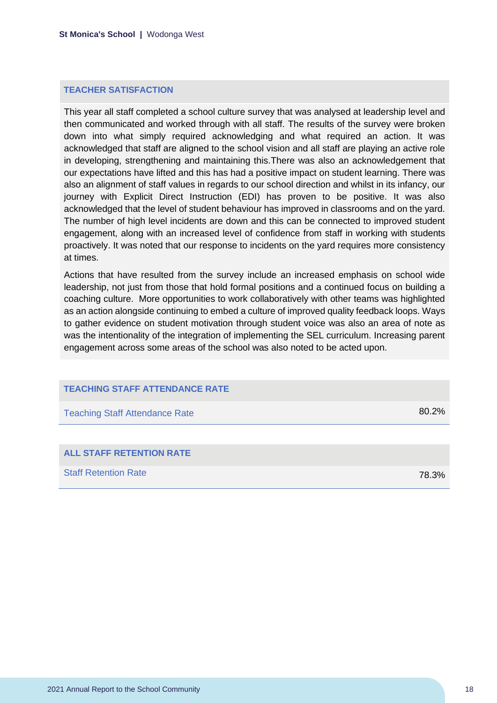#### **TEACHER SATISFACTION**

This year all staff completed a school culture survey that was analysed at leadership level and then communicated and worked through with all staff. The results of the survey were broken down into what simply required acknowledging and what required an action. It was acknowledged that staff are aligned to the school vision and all staff are playing an active role in developing, strengthening and maintaining this.There was also an acknowledgement that our expectations have lifted and this has had a positive impact on student learning. There was also an alignment of staff values in regards to our school direction and whilst in its infancy, our journey with Explicit Direct Instruction (EDI) has proven to be positive. It was also acknowledged that the level of student behaviour has improved in classrooms and on the yard. The number of high level incidents are down and this can be connected to improved student engagement, along with an increased level of confidence from staff in working with students proactively. It was noted that our response to incidents on the yard requires more consistency at times.

Actions that have resulted from the survey include an increased emphasis on school wide leadership, not just from those that hold formal positions and a continued focus on building a coaching culture. More opportunities to work collaboratively with other teams was highlighted as an action alongside continuing to embed a culture of improved quality feedback loops. Ways to gather evidence on student motivation through student voice was also an area of note as was the intentionality of the integration of implementing the SEL curriculum. Increasing parent engagement across some areas of the school was also noted to be acted upon.

#### **TEACHING STAFF ATTENDANCE RATE**

| <b>Teaching Staff Attendance Rate</b> | 80.2% |
|---------------------------------------|-------|
|                                       |       |

| <b>ALL STAFF RETENTION RATE</b> |       |
|---------------------------------|-------|
| <b>Staff Retention Rate</b>     | 78.3% |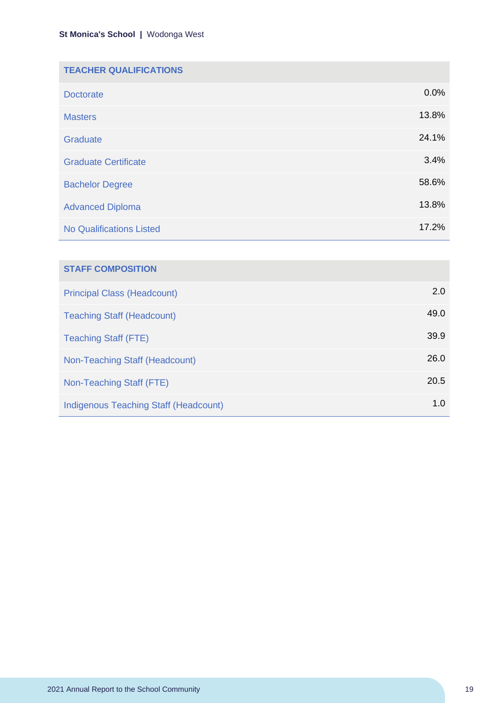| <b>TEACHER QUALIFICATIONS</b>   |       |
|---------------------------------|-------|
| <b>Doctorate</b>                | 0.0%  |
| <b>Masters</b>                  | 13.8% |
| Graduate                        | 24.1% |
| <b>Graduate Certificate</b>     | 3.4%  |
| <b>Bachelor Degree</b>          | 58.6% |
| <b>Advanced Diploma</b>         | 13.8% |
| <b>No Qualifications Listed</b> | 17.2% |

| <b>STAFF COMPOSITION</b>                     |      |
|----------------------------------------------|------|
| <b>Principal Class (Headcount)</b>           | 2.0  |
| <b>Teaching Staff (Headcount)</b>            | 49.0 |
| <b>Teaching Staff (FTE)</b>                  | 39.9 |
| Non-Teaching Staff (Headcount)               | 26.0 |
| Non-Teaching Staff (FTE)                     | 20.5 |
| <b>Indigenous Teaching Staff (Headcount)</b> | 1.0  |